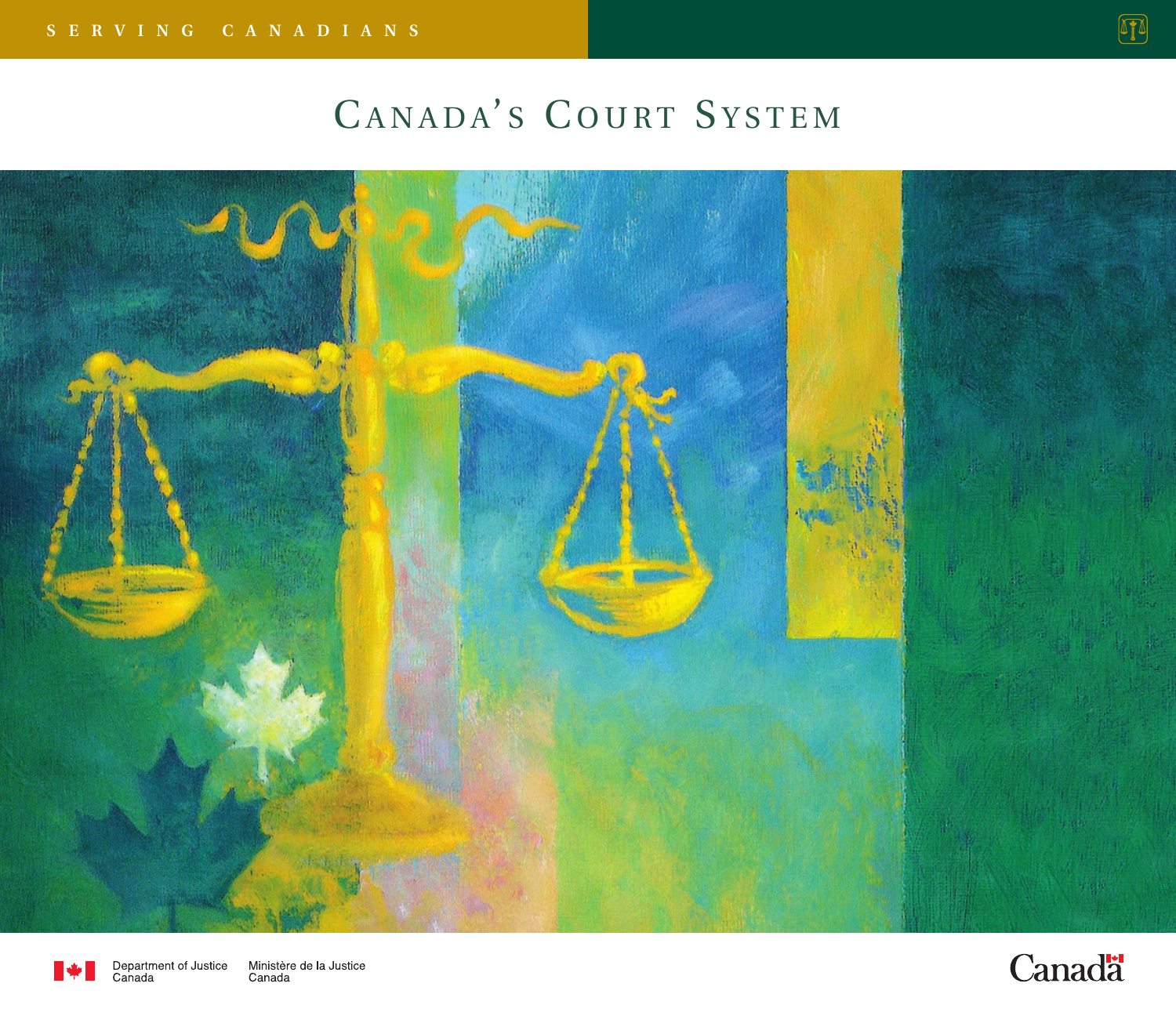## $\boxed{1}$

## CANADA'S COURT SYSTEM





Canada

Department of Justice Ministère de la Justice Canada

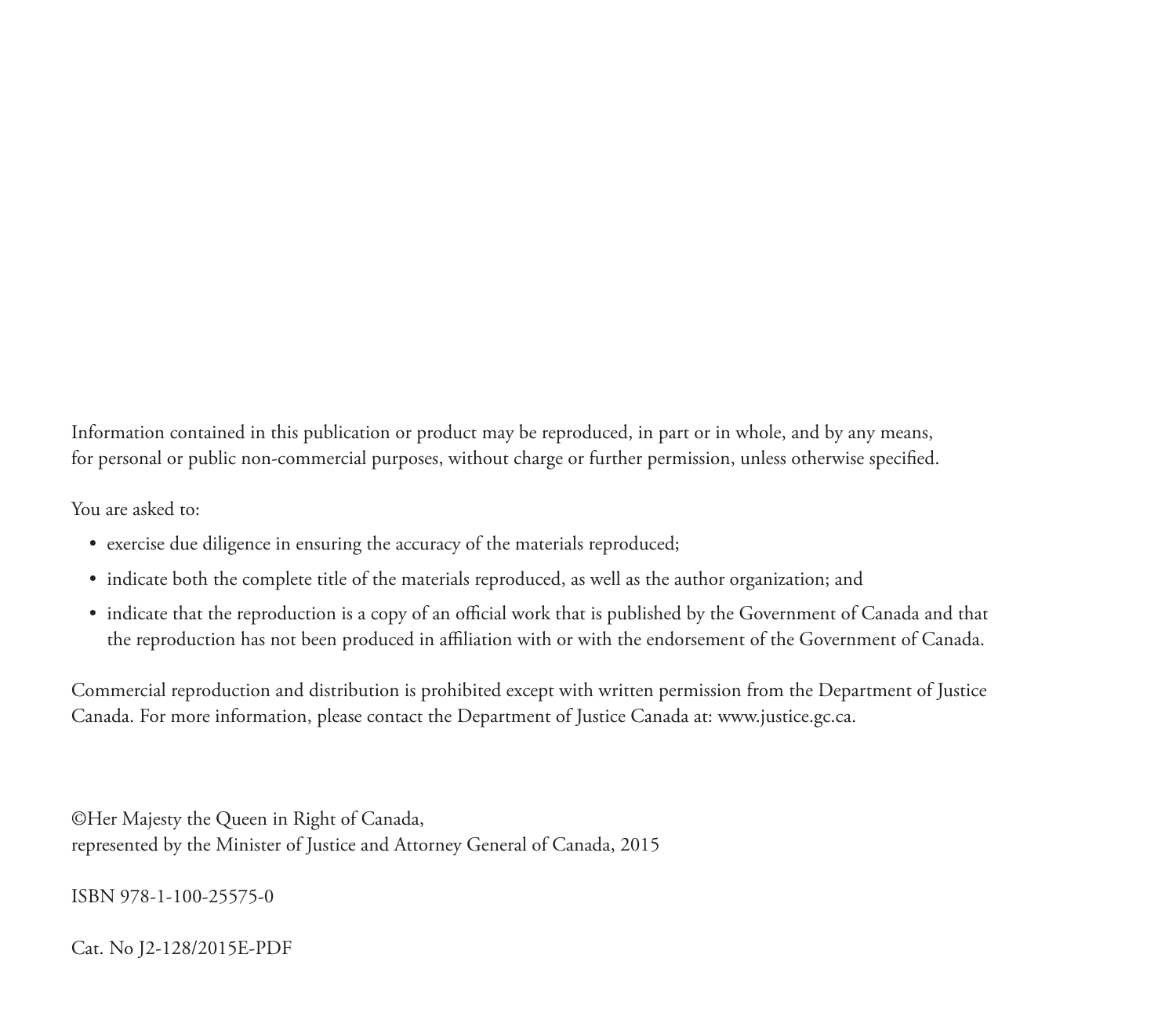Information contained in this publication or product may be reproduced, in part or in whole, and by any means, for personal or public non-commercial purposes, without charge or further permission, unless otherwise specified.

You are asked to:

- exercise due diligence in ensuring the accuracy of the materials reproduced;
- indicate both the complete title of the materials reproduced, as well as the author organization; and
- indicate that the reproduction is a copy of an official work that is published by the Government of Canada and that the reproduction has not been produced in affiliation with or with the endorsement of the Government of Canada.

Commercial reproduction and distribution is prohibited except with written permission from the Department of Justice Canada. For more information, please contact the Department of Justice Canada at: www.justice.gc.ca.

©Her Majesty the Queen in Right of Canada, represented by the Minister of Justice and Attorney General of Canada, 2015

ISBN 978-1-100-25575-0

Cat. No J2-128/2015E-PDF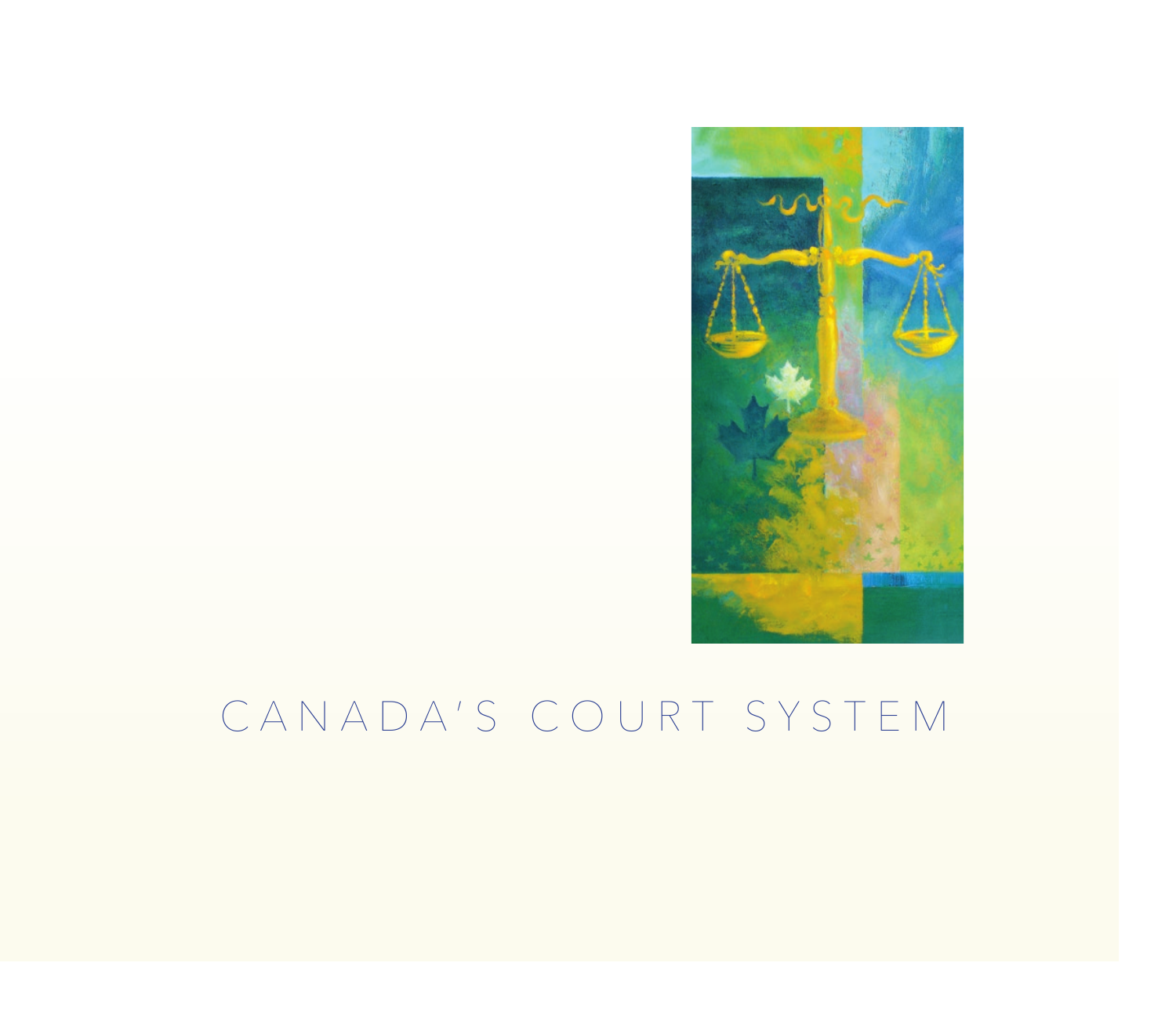

# CANADA'S COURT SYSTEM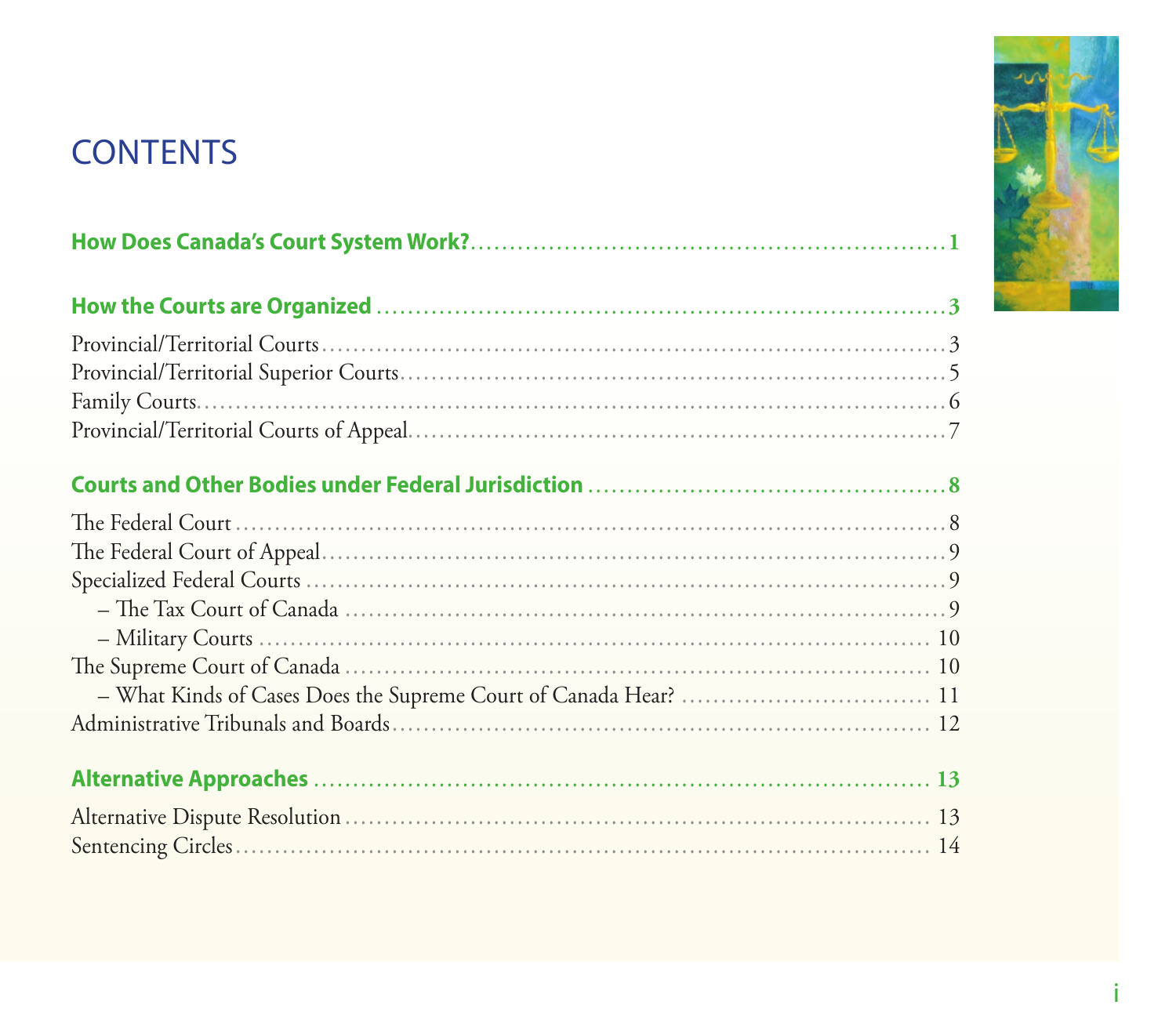## **CONTENTS**

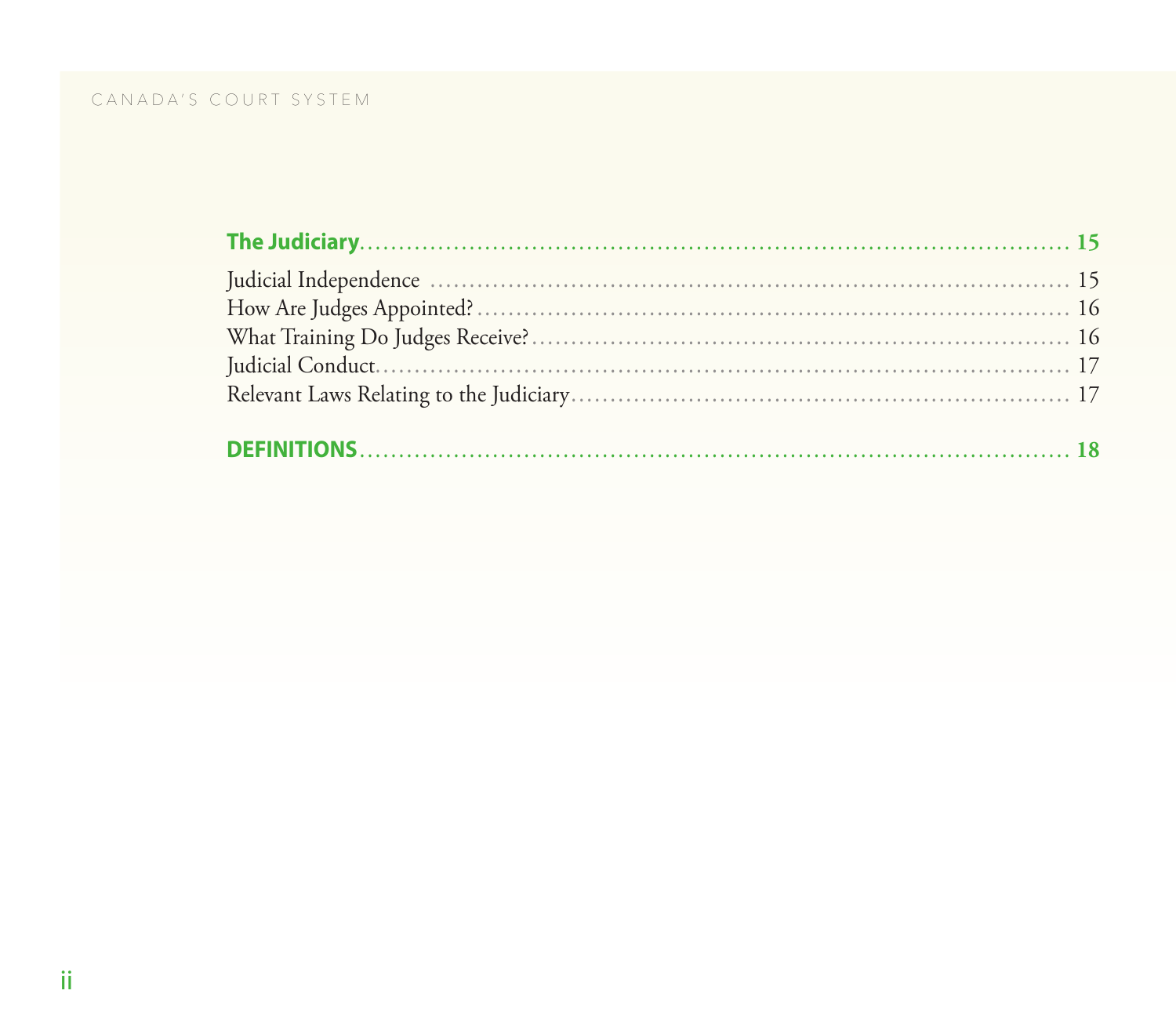## CANADA'S COURT SYSTEM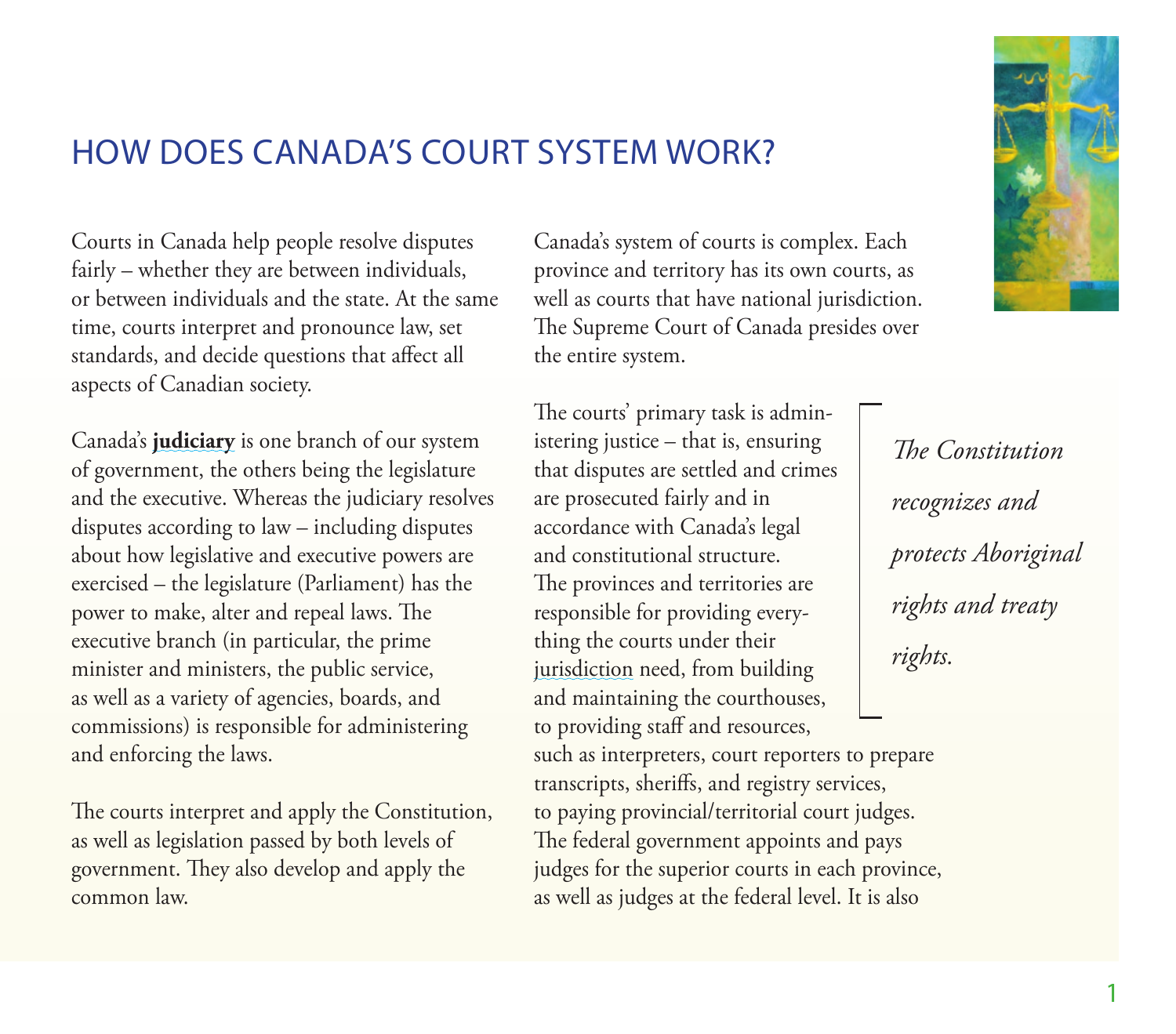## <span id="page-6-0"></span>HOW DOES CANADA'S COURT SYSTEM WORK?

Courts in Canada help people resolve disputes fairly – whether they are between individuals, or between individuals and the state. At the same time, courts interpret and pronounce law, set standards, and decide questions that affect all aspects of Canadian society.

Canada's **[judiciary](#page-23-0)** is one branch of our system of government, the others being the legislature and the executive. Whereas the judiciary resolves disputes according to law – including disputes about how legislative and executive powers are exercised – the legislature (Parliament) has the power to make, alter and repeal laws. The executive branch (in particular, the prime minister and ministers, the public service, as well as a variety of agencies, boards, and commissions) is responsible for administering and enforcing the laws.

The courts interpret and apply the Constitution, as well as legislation passed by both levels of government. They also develop and apply the common law.

Canada's system of courts is complex. Each province and territory has its own courts, as well as courts that have national jurisdiction. The Supreme Court of Canada presides over the entire system.

The courts' primary task is administering justice – that is, ensuring that disputes are settled and crimes are prosecuted fairly and in accordance with Canada's legal and constitutional structure. The provinces and territories are responsible for providing everything the courts under their [jurisdiction](#page-23-0) need, from building and maintaining the courthouses, to providing staff and resources,

such as interpreters, court reporters to prepare transcripts, sheriffs, and registry services, to paying provincial/territorial court judges. The federal government appoints and pays judges for the superior courts in each province, as well as judges at the federal level. It is also



*The Constitution recognizes and protects Aboriginal rights and treaty rights.*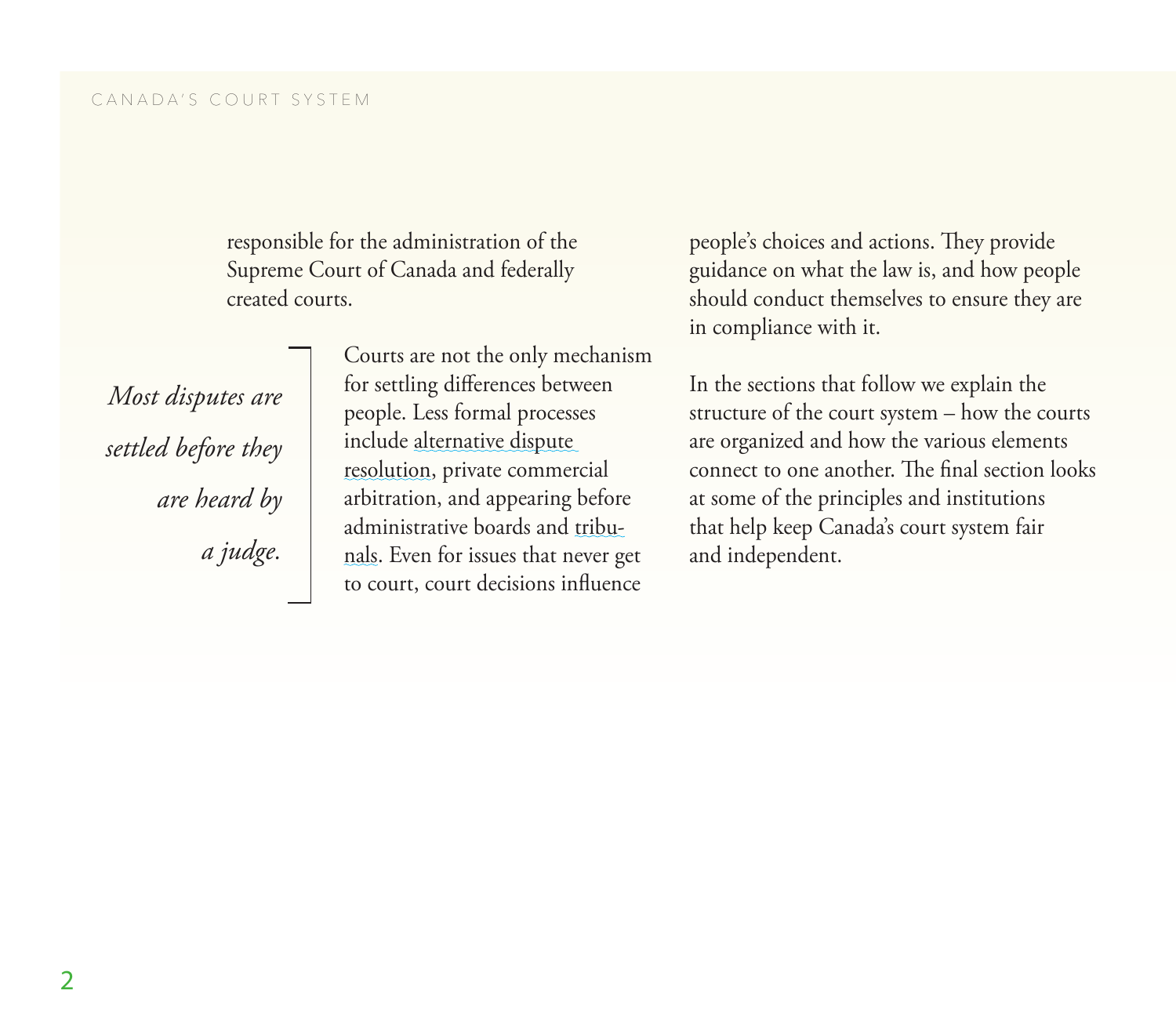responsible for the administration of the Supreme Court of Canada and federally created courts.

*Most disputes are settled before they are heard by a judge.*

Courts are not the only mechanism for settling differences between people. Less formal processes include [alternative dispute](#page-18-0)  [resolution,](#page-18-0) private commercial arbitration, and appearing before administrative boards and [tribu](#page-23-0)[nals.](#page-23-0) Even for issues that never get to court, court decisions influence

people's choices and actions. They provide guidance on what the law is, and how people should conduct themselves to ensure they are in compliance with it.

In the sections that follow we explain the structure of the court system – how the courts are organized and how the various elements connect to one another. The final section looks at some of the principles and institutions that help keep Canada's court system fair and independent.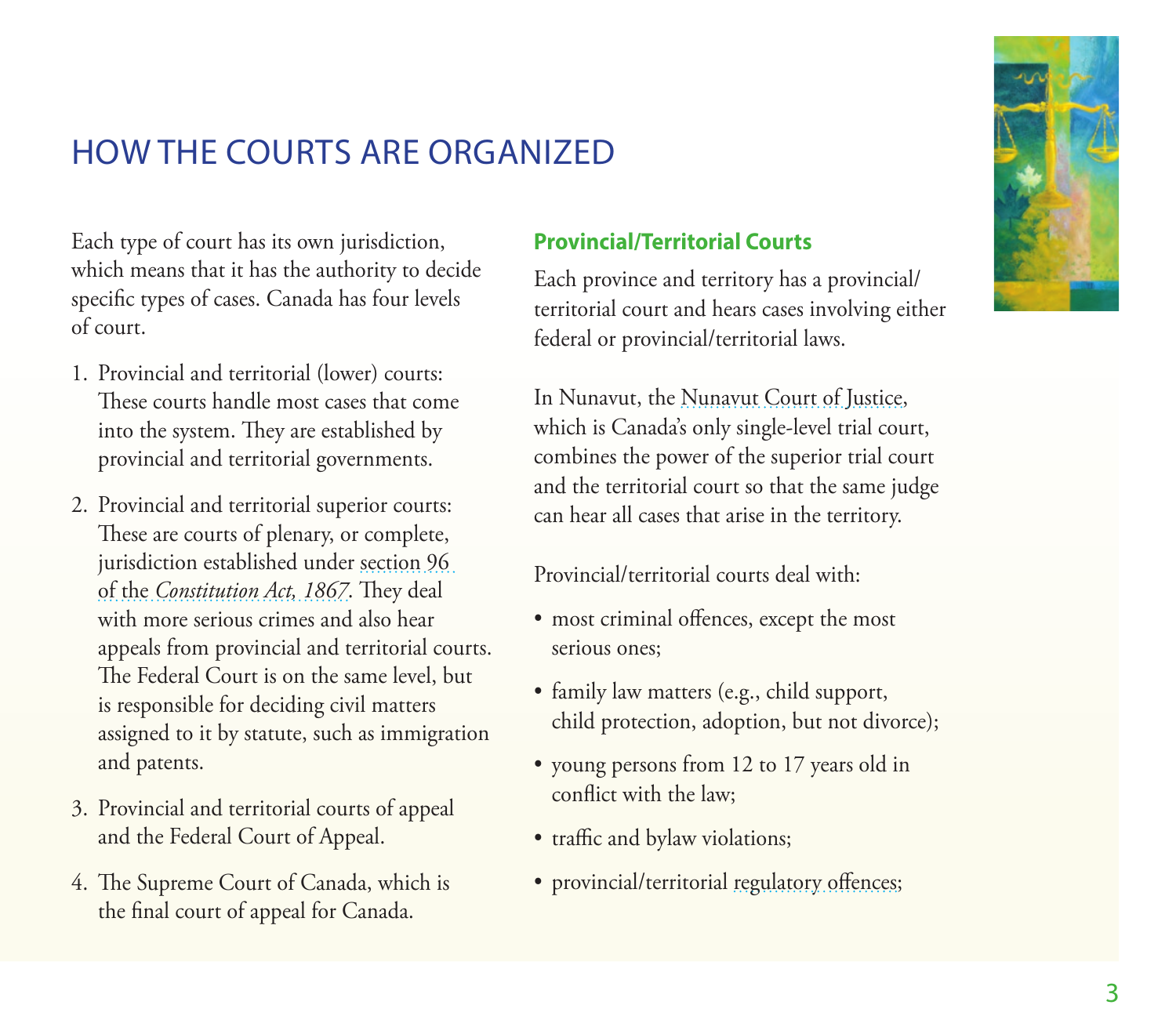## <span id="page-8-0"></span>HOW THE COURTS ARE ORGANIZED

Each type of court has its own jurisdiction, which means that it has the authority to decide specific types of cases. Canada has four levels of court.

- 1. Provincial and territorial (lower) courts: These courts handle most cases that come into the system. They are established by provincial and territorial governments.
- 2. Provincial and territorial superior courts: These are courts of plenary, or complete, jurisdiction established under [section 96](http://laws-lois.justice.gc.ca/eng/const/page-5.html#docCont)  of the *[Constitution Act, 1867](http://laws-lois.justice.gc.ca/eng/const/page-5.html#docCont)*. They deal with more serious crimes and also hear appeals from provincial and territorial courts. The Federal Court is on the same level, but is responsible for deciding civil matters assigned to it by statute, such as immigration and patents.
- 3. Provincial and territorial courts of appeal and the Federal Court of Appeal.
- 4. The Supreme Court of Canada, which is the final court of appeal for Canada.

## **Provincial/Territorial Courts**

Each province and territory has a provincial/ territorial court and hears cases involving either federal or provincial/territorial laws.

In Nunavut, the [Nunavut Court of Justice,](http://www.nucj.ca/) which is Canada's only single-level trial court, combines the power of the superior trial court and the territorial court so that the same judge can hear all cases that arise in the territory.

Provincial/territorial courts deal with:

- most criminal offences, except the most serious ones;
- family law matters (e.g., child support, child protection, adoption, but not divorce);
- young persons from 12 to 17 years old in conflict with the law;
- traffic and bylaw violations;
- provincial/territorial [regulatory offences](http://www.lco-cdo.org/en/provincial-offences-call-for-papers-libman-sectionI);

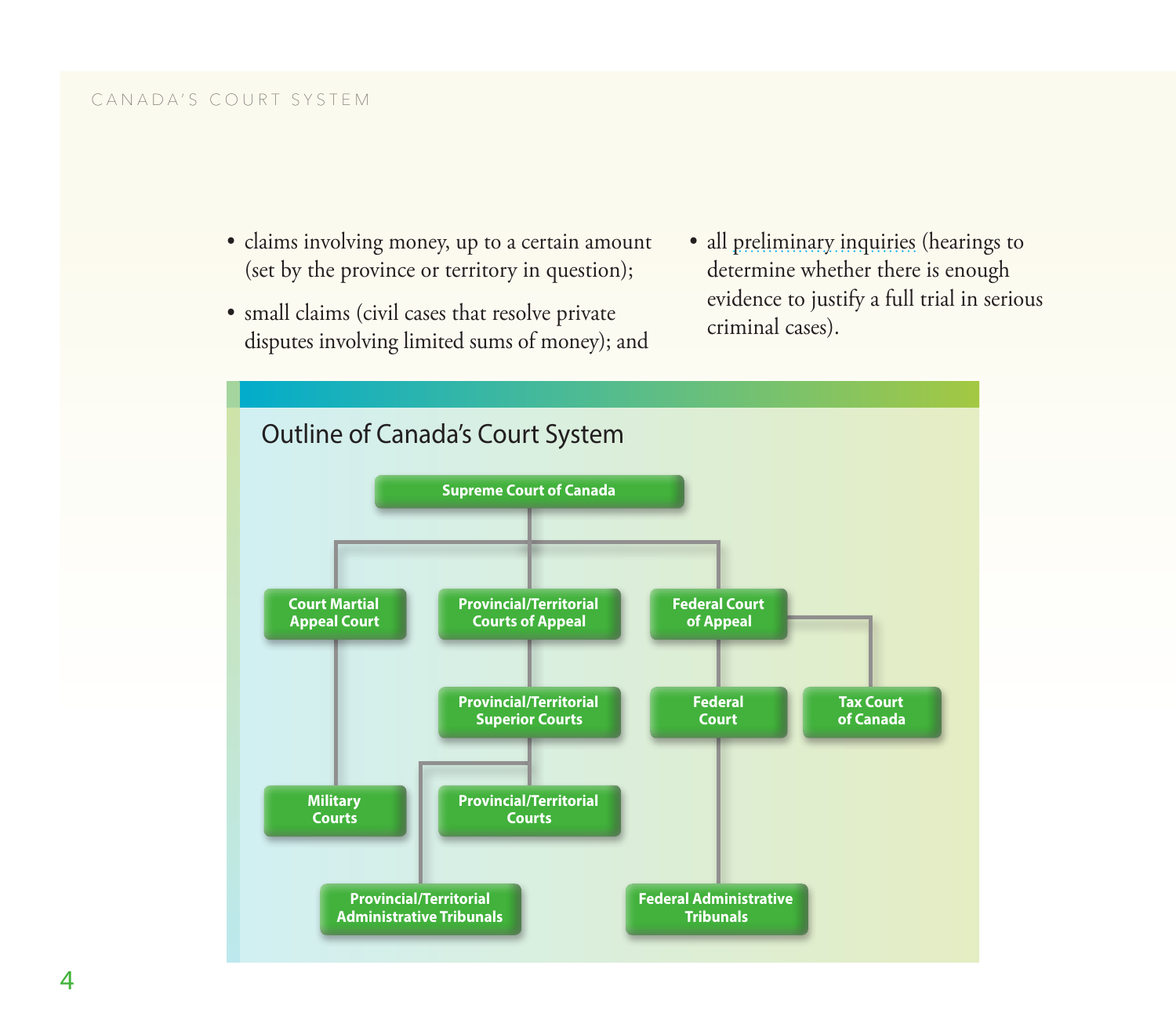#### CANADA'S COURT SYSTEM

- claims involving money, up to a certain amount (set by the province or territory in question);
- small claims (civil cases that resolve private disputes involving limited sums of money); and
- all [preliminary inquiries](http://www.justice.gc.ca/eng/rp-pr/csj-sjc/ccs-ajc/rr06_vic2/p4_6.html#sec4.7) (hearings to determine whether there is enough evidence to justify a full trial in serious criminal cases).

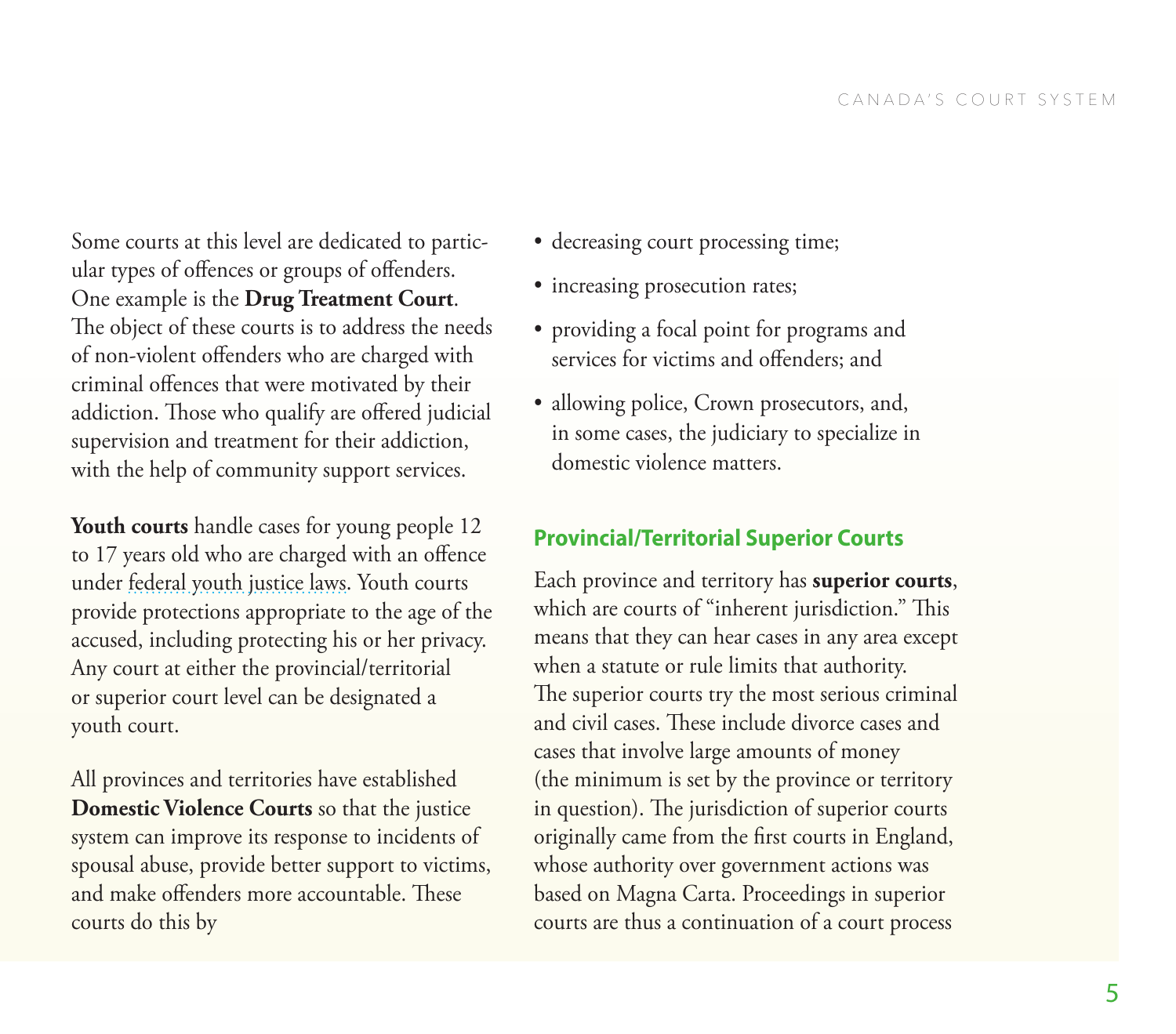<span id="page-10-0"></span>Some courts at this level are dedicated to particular types of offences or groups of offenders. One example is the **Drug Treatment Court**. The object of these courts is to address the needs of non-violent offenders who are charged with criminal offences that were motivated by their addiction. Those who qualify are offered judicial supervision and treatment for their addiction, with the help of community support services.

**Youth courts** handle cases for young people 12 to 17 years old who are charged with an offence under [federal youth justice laws.](http://www.justice.gc.ca/eng/cj-jp/yj-jj/index.html) Youth courts provide protections appropriate to the age of the accused, including protecting his or her privacy. Any court at either the provincial/territorial or superior court level can be designated a youth court.

All provinces and territories have established **Domestic Violence Courts** so that the justice system can improve its response to incidents of spousal abuse, provide better support to victims, and make offenders more accountable. These courts do this by

- decreasing court processing time;
- increasing prosecution rates;
- providing a focal point for programs and services for victims and offenders; and
- allowing police, Crown prosecutors, and, in some cases, the judiciary to specialize in domestic violence matters.

### **Provincial/Territorial Superior Courts**

Each province and territory has **superior courts**, which are courts of "inherent jurisdiction." This means that they can hear cases in any area except when a statute or rule limits that authority. The superior courts try the most serious criminal and civil cases. These include divorce cases and cases that involve large amounts of money (the minimum is set by the province or territory in question). The jurisdiction of superior courts originally came from the first courts in England, whose authority over government actions was based on Magna Carta. Proceedings in superior courts are thus a continuation of a court process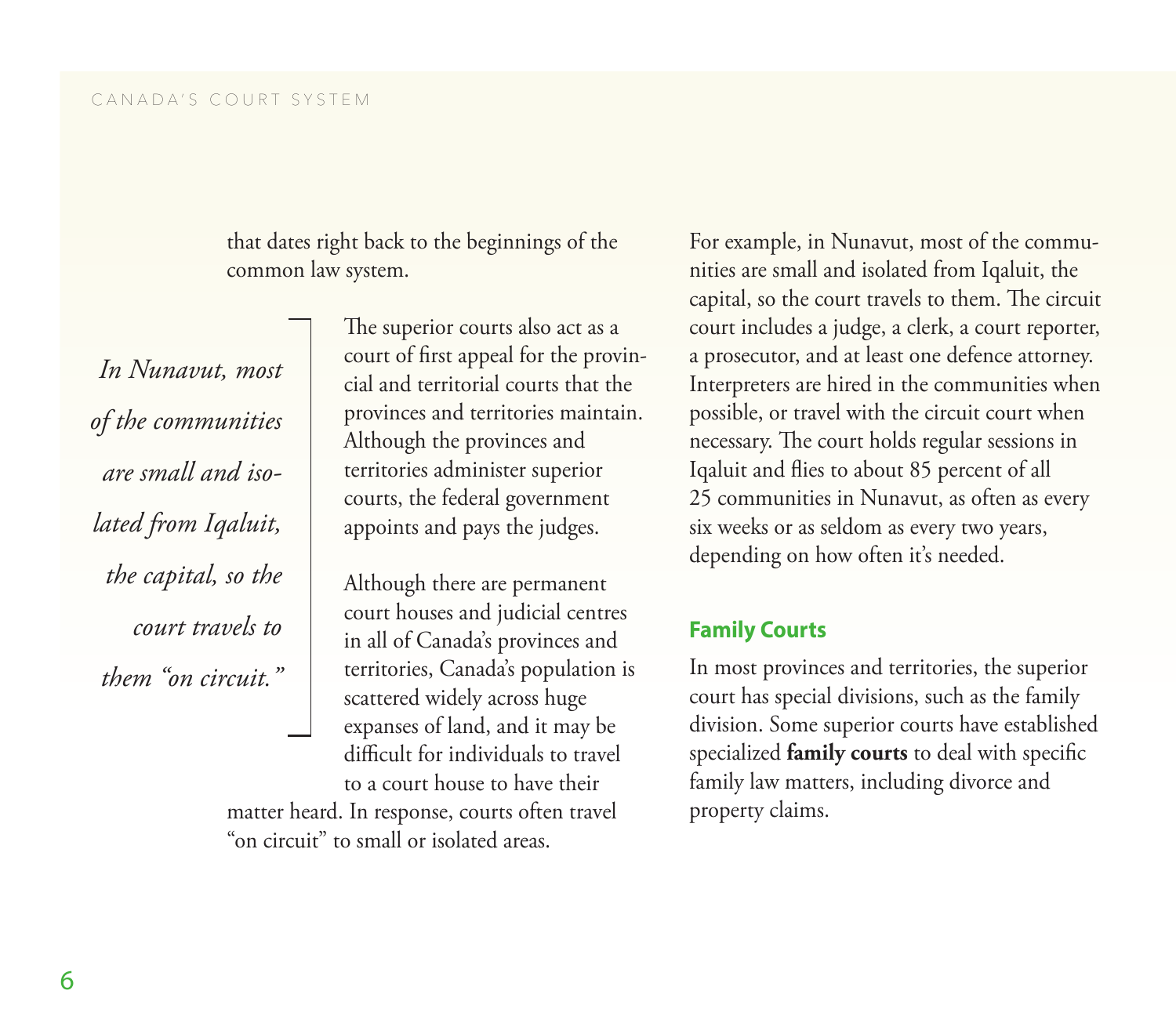<span id="page-11-0"></span>that dates right back to the beginnings of the common law system.

*In Nunavut, most of the communities are small and isolated from Iqaluit, the capital, so the court travels to them "on circuit."*

The superior courts also act as a court of first appeal for the provincial and territorial courts that the provinces and territories maintain. Although the provinces and territories administer superior courts, the federal government appoints and pays the judges.

Although there are permanent court houses and judicial centres in all of Canada's provinces and territories, Canada's population is scattered widely across huge expanses of land, and it may be difficult for individuals to travel to a court house to have their

matter heard. In response, courts often travel "on circuit" to small or isolated areas.

For example, in Nunavut, most of the communities are small and isolated from Iqaluit, the capital, so the court travels to them. The circuit court includes a judge, a clerk, a court reporter, a prosecutor, and at least one defence attorney. Interpreters are hired in the communities when possible, or travel with the circuit court when necessary. The court holds regular sessions in Iqaluit and flies to about 85 percent of all 25 communities in Nunavut, as often as every six weeks or as seldom as every two years, depending on how often it's needed.

### **Family Courts**

In most provinces and territories, the superior court has special divisions, such as the family division. Some superior courts have established specialized **family courts** to deal with specific family law matters, including divorce and property claims.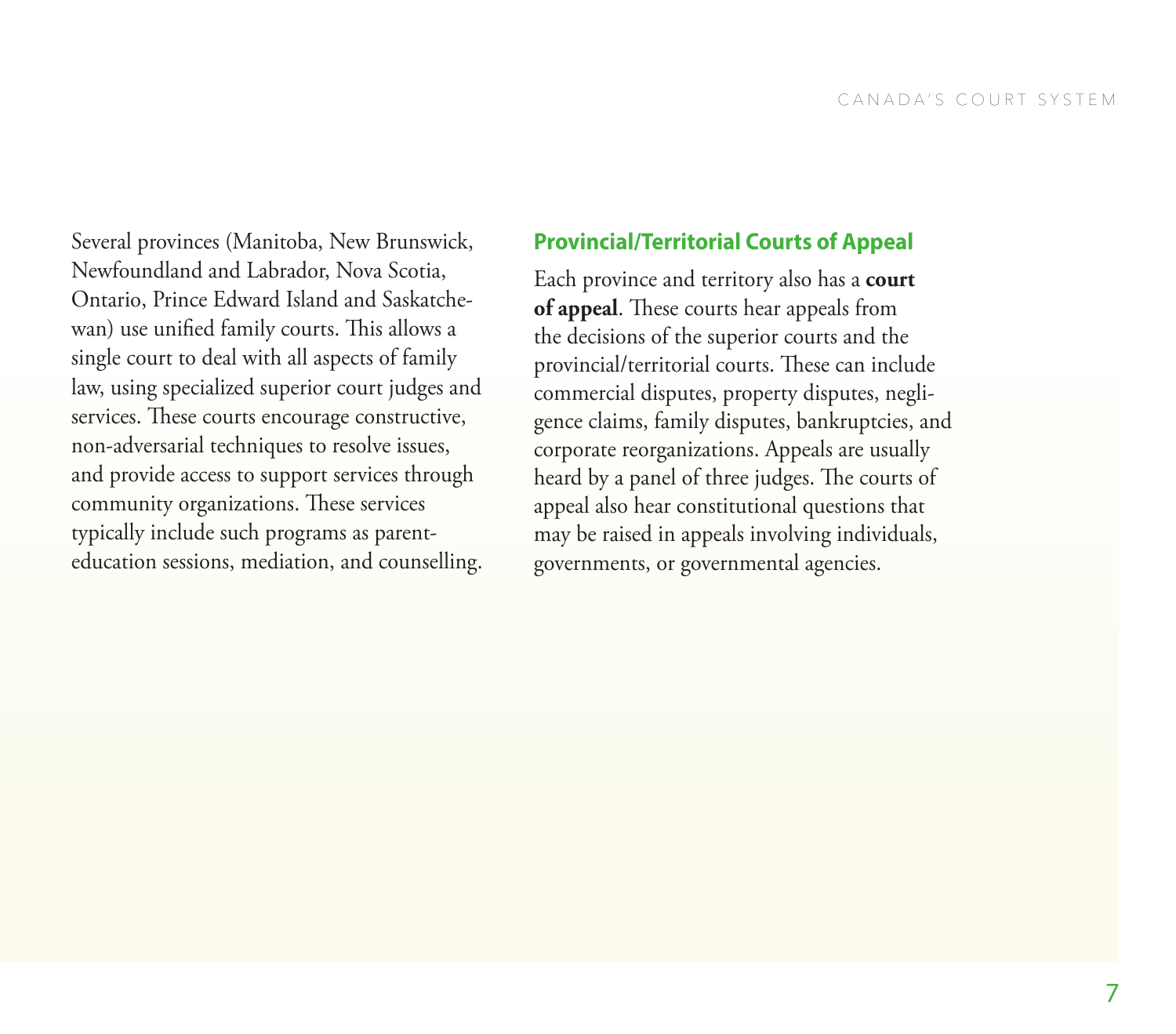<span id="page-12-0"></span>Several provinces (Manitoba, New Brunswick, Newfoundland and Labrador, Nova Scotia, Ontario, Prince Edward Island and Saskatchewan) use unified family courts. This allows a single court to deal with all aspects of family law, using specialized superior court judges and services. These courts encourage constructive, non-adversarial techniques to resolve issues, and provide access to support services through community organizations. These services typically include such programs as parenteducation sessions, mediation, and counselling.

## **Provincial/Territorial Courts of Appeal**

Each province and territory also has a **court of appeal**. These courts hear appeals from the decisions of the superior courts and the provincial/territorial courts. These can include commercial disputes, property disputes, negligence claims, family disputes, bankruptcies, and corporate reorganizations. Appeals are usually heard by a panel of three judges. The courts of appeal also hear constitutional questions that may be raised in appeals involving individuals, governments, or governmental agencies.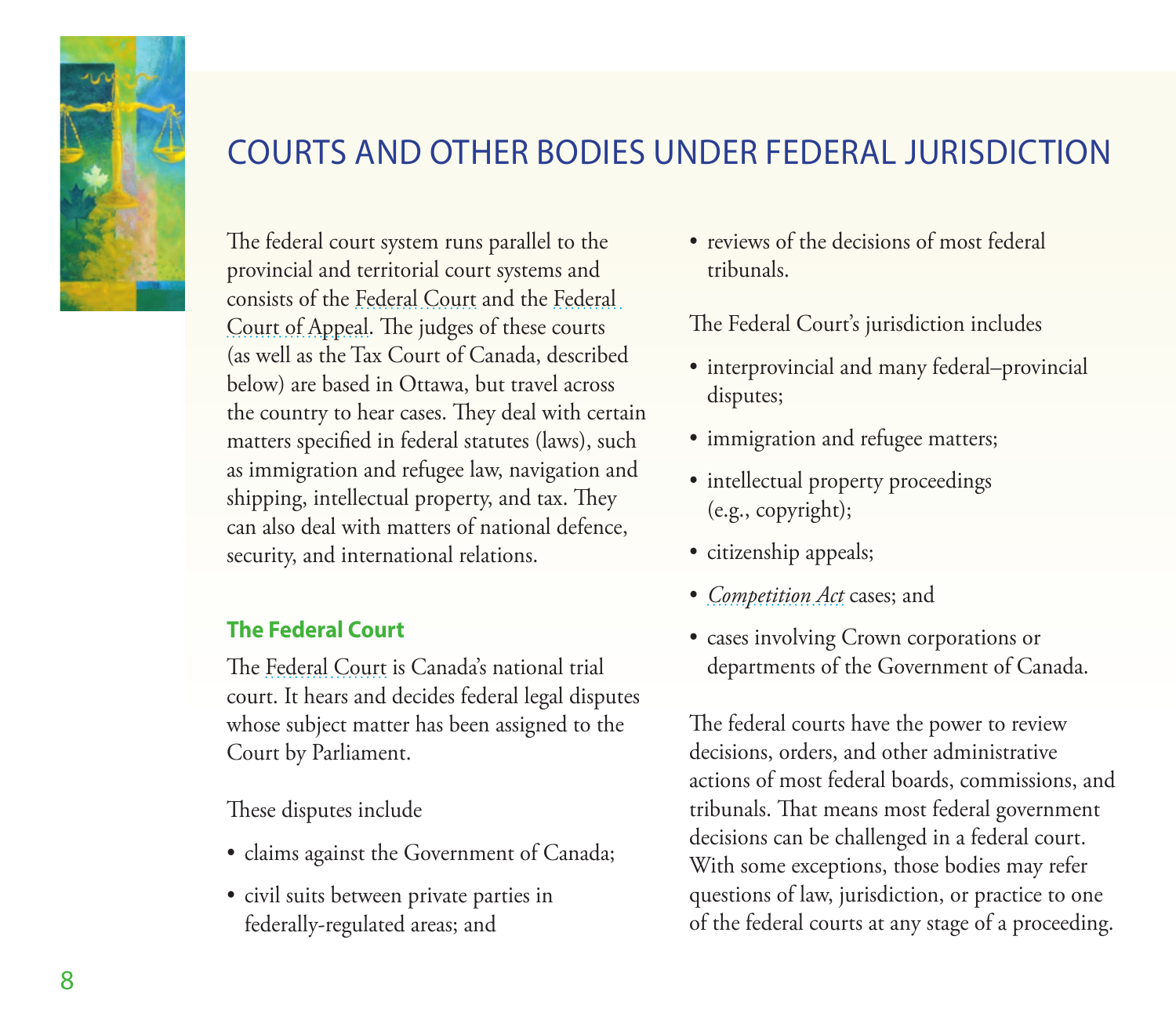<span id="page-13-0"></span>

## COURTS AND OTHER BODIES UNDER FEDERAL JURISDICTION

The federal court system runs parallel to the provincial and territorial court systems and consists of the [Federal Court](http://cas-ncr-nter03.cas-satj.gc.ca/portal/page/portal/fc_cf_en/Index) and the [Federal](http://cas-ncr-nter03.cas-satj.gc.ca/portal/page/portal/fca-caf_eng)  [Court of Appeal](http://cas-ncr-nter03.cas-satj.gc.ca/portal/page/portal/fca-caf_eng). The judges of these courts (as well as the Tax Court of Canada, described below) are based in Ottawa, but travel across the country to hear cases. They deal with certain matters specified in federal statutes (laws), such as immigration and refugee law, navigation and shipping, intellectual property, and tax. They can also deal with matters of national defence, security, and international relations.

## **The Federal Court**

The [Federal Court](http://cas-ncr-nter03.cas-satj.gc.ca/portal/page/portal/fc_cf_en/Index) is Canada's national trial court. It hears and decides federal legal disputes whose subject matter has been assigned to the Court by Parliament.

These disputes include

- claims against the Government of Canada;
- civil suits between private parties in federally-regulated areas; and

• reviews of the decisions of most federal tribunals.

The Federal Court's jurisdiction includes

- interprovincial and many federal–provincial disputes;
- immigration and refugee matters;
- intellectual property proceedings (e.g., copyright);
- citizenship appeals;
- *[Competition Act](http://laws-lois.justice.gc.ca/eng/acts/C-34/index.html)* cases; and
- cases involving Crown corporations or departments of the Government of Canada.

The federal courts have the power to review decisions, orders, and other administrative actions of most federal boards, commissions, and tribunals. That means most federal government decisions can be challenged in a federal court. With some exceptions, those bodies may refer questions of law, jurisdiction, or practice to one of the federal courts at any stage of a proceeding.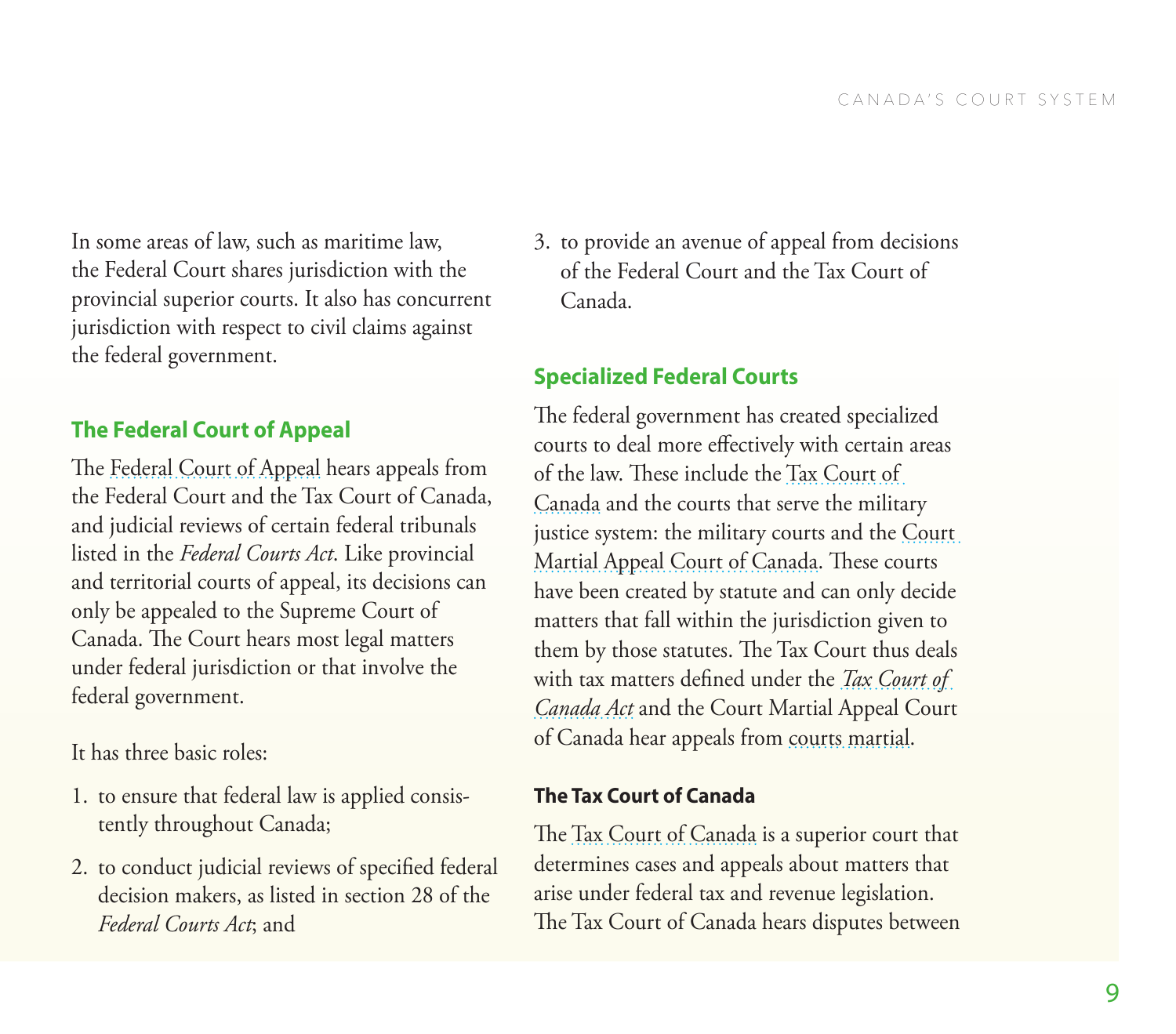<span id="page-14-0"></span>In some areas of law, such as maritime law, the Federal Court shares jurisdiction with the provincial superior courts. It also has concurrent jurisdiction with respect to civil claims against the federal government.

## **The Federal Court of Appeal**

The [Federal Court of Appeal](http://cas-ncr-nter03.cas-satj.gc.ca/portal/page/portal/fca-caf_eng/role_eng) hears appeals from the Federal Court and the Tax Court of Canada, and judicial reviews of certain federal tribunals listed in the *Federal Courts Act*. Like provincial and territorial courts of appeal, its decisions can only be appealed to the Supreme Court of Canada. The Court hears most legal matters under federal jurisdiction or that involve the federal government.

It has three basic roles:

- 1. to ensure that federal law is applied consistently throughout Canada;
- 2. to conduct judicial reviews of specified federal decision makers, as listed in section 28 of the *Federal Courts Act*; and

3. to provide an avenue of appeal from decisions of the Federal Court and the Tax Court of Canada.

## **Specialized Federal Courts**

The federal government has created specialized courts to deal more effectively with certain areas of the law. These include the [Tax Court of](http://cas-ncr-nter03.cas-satj.gc.ca/portal/page/portal/tcc-cci_Eng/Index)  [Canada](http://cas-ncr-nter03.cas-satj.gc.ca/portal/page/portal/tcc-cci_Eng/Index) and the courts that serve the military justice system: the military courts and the [Court](http://www.cmac-cacm.ca/index-eng.shtml)  [Martial Appeal Court of Canada](http://www.cmac-cacm.ca/index-eng.shtml). These courts have been created by statute and can only decide matters that fall within the jurisdiction given to them by those statutes. The Tax Court thus deals with tax matters defined under the *[Tax Court of](http://laws-lois.justice.gc.ca/eng/acts/T-2/index.html)  [Canada Act](http://laws-lois.justice.gc.ca/eng/acts/T-2/index.html)* and the Court Martial Appeal Court of Canada hear appeals from [courts martial.](http://www.cmac-cacm.ca/about/jurisdiction_e.shtml)

## **The Tax Court of Canada**

The [Tax Court of Canada](http://cas-ncr-nter03.cas-satj.gc.ca/portal/page/portal/tcc-cci_Eng/Index) is a superior court that determines cases and appeals about matters that arise under federal tax and revenue legislation. The Tax Court of Canada hears disputes between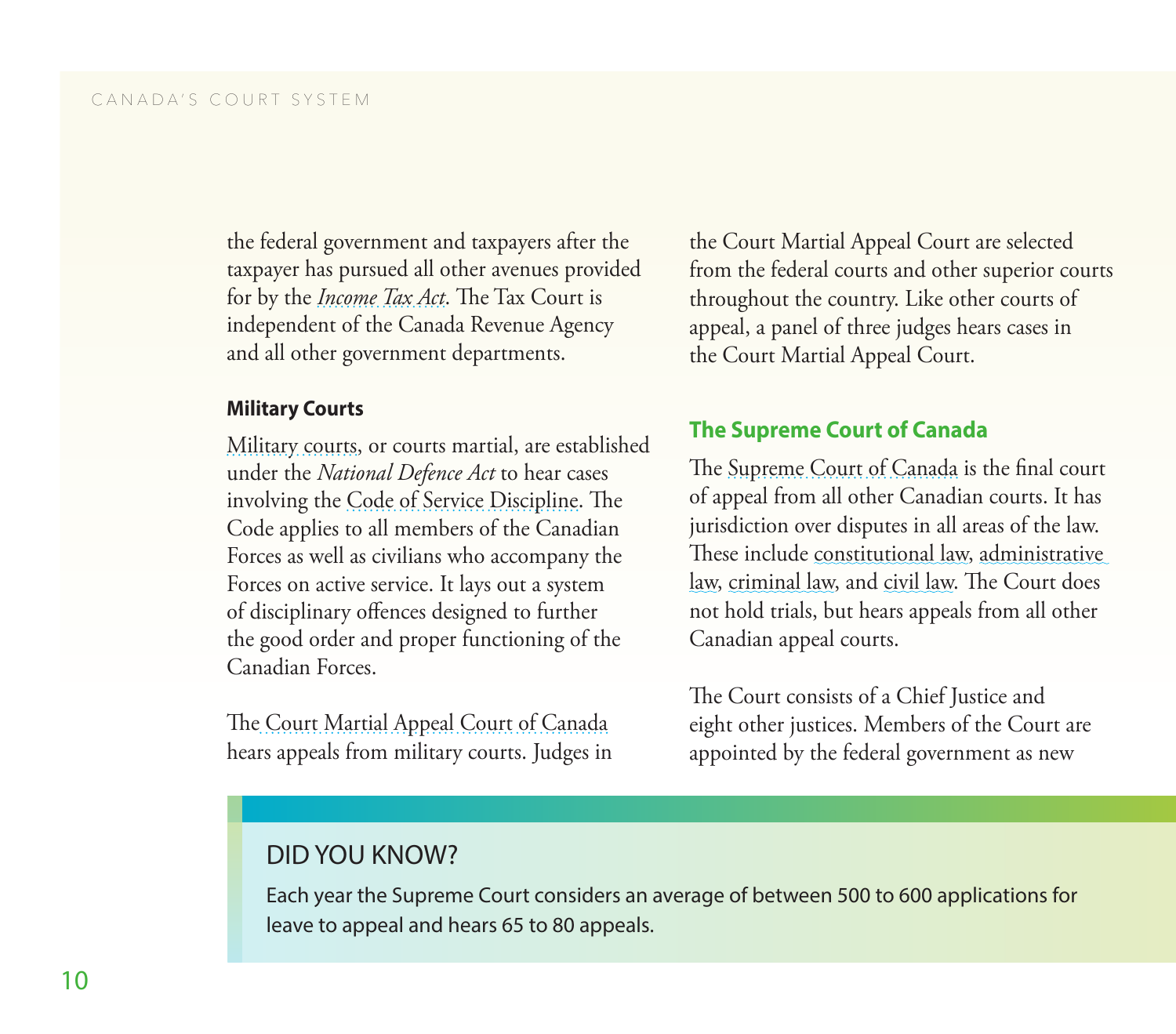<span id="page-15-0"></span>the federal government and taxpayers after the taxpayer has pursued all other avenues provided for by the *[Income Tax Act](http://laws.justice.gc.ca/eng/acts/I-3.3/index.html)*. The Tax Court is independent of the Canada Revenue Agency and all other government departments.

#### **Military Courts**

[Military courts](http://www.cmac-cacm.ca/about/jurisdiction_e.shtml), or courts martial, are established under the *National Defence Act* to hear cases involving the [Code of Service Discipline](http://www.forces.gc.ca/en/about-reports-pubs-military-law/code-of-service-discipline.page). The Code applies to all members of the Canadian Forces as well as civilians who accompany the Forces on active service. It lays out a system of disciplinary offences designed to further the good order and proper functioning of the Canadian Forces.

Th[e Court Martial Appeal Court of Canada](http://www.cmac-cacm.ca/index_e.html) hears appeals from military courts. Judges in

the Court Martial Appeal Court are selected from the federal courts and other superior courts throughout the country. Like other courts of appeal, a panel of three judges hears cases in the Court Martial Appeal Court.

## **The Supreme Court of Canada**

The [Supreme Court of Canada](http://www.scc-csc.gc.ca/home-accueil/index-eng.aspx) is the final court of appeal from all other Canadian courts. It has jurisdiction over disputes in all areas of the law. These include [constitutional law,](#page-23-0) [administrative](#page-23-0)  [law](#page-23-0), [criminal law](#page-23-0), and [civil law](#page-23-0). The Court does not hold trials, but hears appeals from all other Canadian appeal courts.

The Court consists of a Chief Justice and eight other justices. Members of the Court are appointed by the federal government as new

## DID YOU KNOW?

Each year the Supreme Court considers an average of between 500 to 600 applications for leave to appeal and hears 65 to 80 appeals.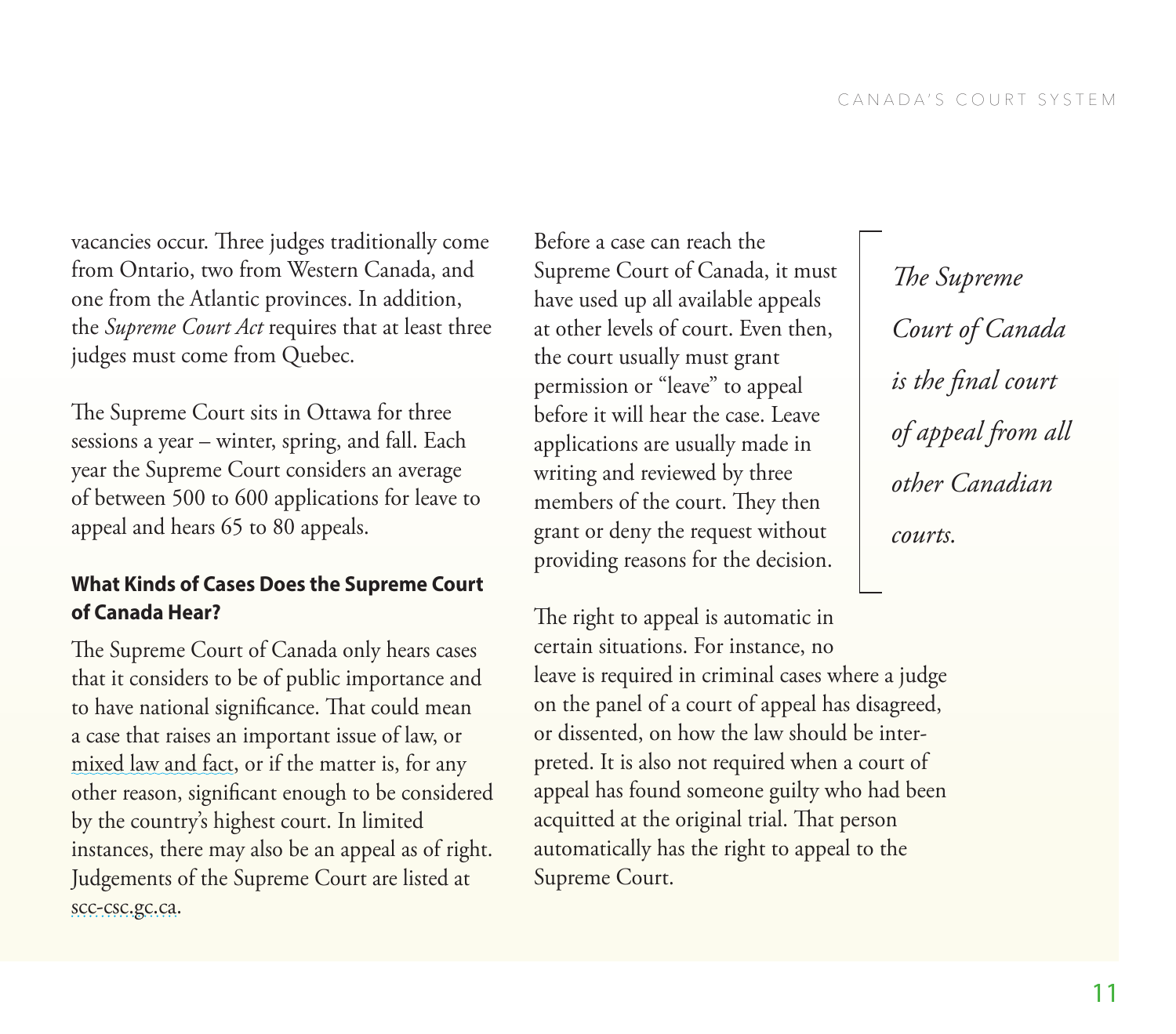<span id="page-16-0"></span>vacancies occur. Three judges traditionally come from Ontario, two from Western Canada, and one from the Atlantic provinces. In addition, the *Supreme Court Act* requires that at least three judges must come from Quebec.

The Supreme Court sits in Ottawa for three sessions a year – winter, spring, and fall. Each year the Supreme Court considers an average of between 500 to 600 applications for leave to appeal and hears 65 to 80 appeals.

## **What Kinds of Cases Does the Supreme Court of Canada Hear?**

The Supreme Court of Canada only hears cases that it considers to be of public importance and to have national significance. That could mean a case that raises an important issue of law, or [mixed law and fact,](#page-23-0) or if the matter is, for any other reason, significant enough to be considered by the country's highest court. In limited instances, there may also be an appeal as of right. Judgements of the Supreme Court are listed at [scc-csc.gc.ca](http://scc-csc.gc.ca).

Before a case can reach the Supreme Court of Canada, it must have used up all available appeals at other levels of court. Even then, the court usually must grant permission or "leave" to appeal before it will hear the case. Leave applications are usually made in writing and reviewed by three members of the court. They then grant or deny the request without providing reasons for the decision.

The right to appeal is automatic in certain situations. For instance, no leave is required in criminal cases where a judge on the panel of a court of appeal has disagreed, or dissented, on how the law should be interpreted. It is also not required when a court of appeal has found someone guilty who had been acquitted at the original trial. That person automatically has the right to appeal to the Supreme Court.

*The Supreme Court of Canada is the final court of appeal from all other Canadian courts.*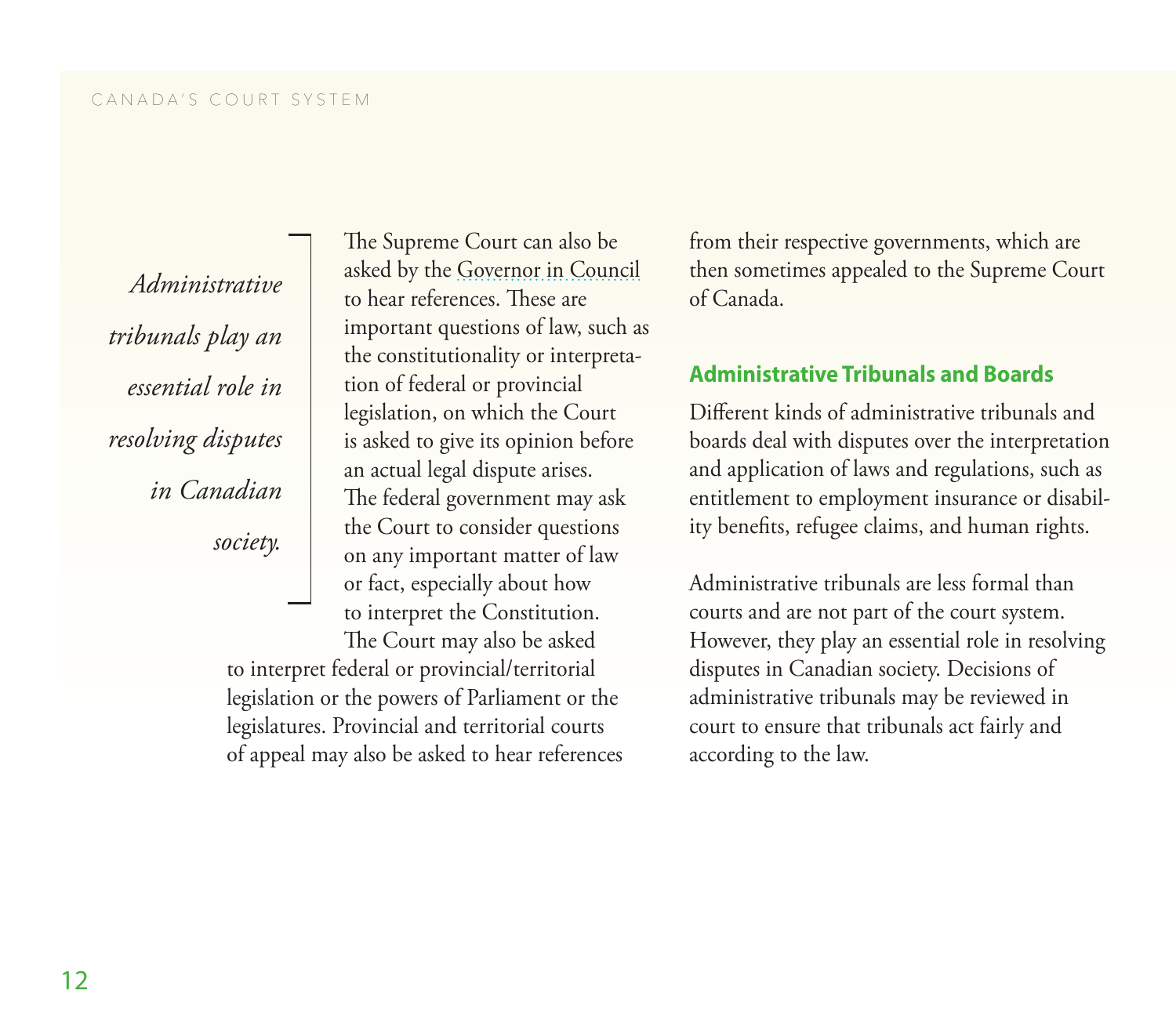<span id="page-17-0"></span>*Administrative tribunals play an essential role in resolving disputes in Canadian society.*

The Supreme Court can also be asked by the [Governor in Council](http://www.parl.gc.ca/About/House/compendium/web-content/c_g_parliamentaryframework-e.htm#5) to hear references. These are important questions of law, such as the constitutionality or interpretation of federal or provincial legislation, on which the Court is asked to give its opinion before an actual legal dispute arises. The federal government may ask the Court to consider questions on any important matter of law or fact, especially about how to interpret the Constitution. The Court may also be asked

to interpret federal or provincial/territorial legislation or the powers of Parliament or the legislatures. Provincial and territorial courts of appeal may also be asked to hear references

from their respective governments, which are then sometimes appealed to the Supreme Court of Canada.

## **Administrative Tribunals and Boards**

Different kinds of administrative tribunals and boards deal with disputes over the interpretation and application of laws and regulations, such as entitlement to employment insurance or disability benefits, refugee claims, and human rights.

Administrative tribunals are less formal than courts and are not part of the court system. However, they play an essential role in resolving disputes in Canadian society. Decisions of administrative tribunals may be reviewed in court to ensure that tribunals act fairly and according to the law.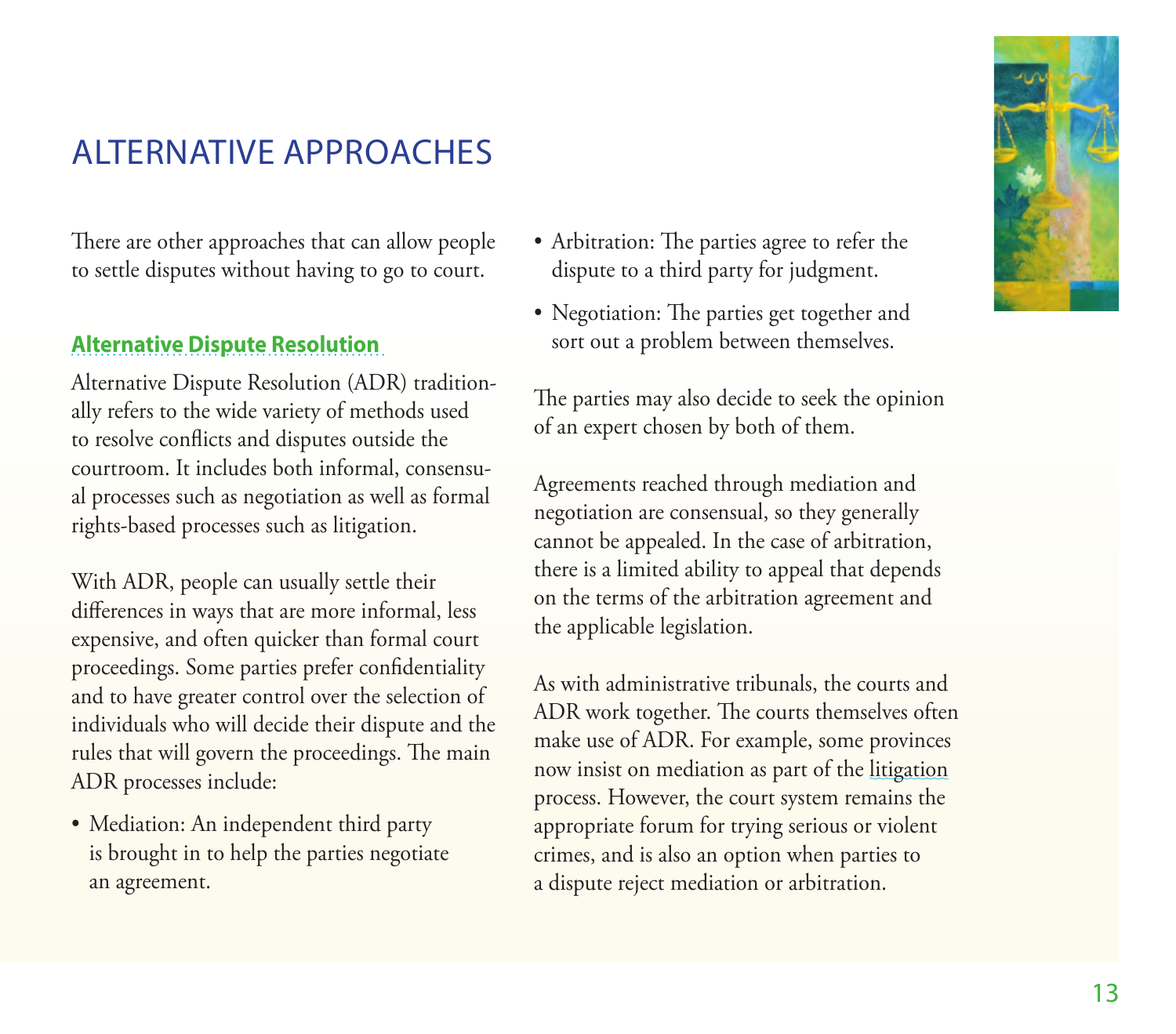## <span id="page-18-0"></span>ALTERNATIVE APPROACHES

There are other approaches that can allow people to settle disputes without having to go to court.

## **[Alternative Dispute Resolution](http://www.justice.gc.ca/eng/rp-pr/csj-sjc/dprs-sprd/dr-rd/index.html)**

Alternative Dispute Resolution (ADR) traditionally refers to the wide variety of methods used to resolve conflicts and disputes outside the courtroom. It includes both informal, consensual processes such as negotiation as well as formal rights-based processes such as litigation.

With ADR, people can usually settle their differences in ways that are more informal, less expensive, and often quicker than formal court proceedings. Some parties prefer confidentiality and to have greater control over the selection of individuals who will decide their dispute and the rules that will govern the proceedings. The main ADR processes include:

• Mediation: An independent third party is brought in to help the parties negotiate an agreement.

- Arbitration: The parties agree to refer the dispute to a third party for judgment.
- Negotiation: The parties get together and sort out a problem between themselves.

The parties may also decide to seek the opinion of an expert chosen by both of them.

Agreements reached through mediation and negotiation are consensual, so they generally cannot be appealed. In the case of arbitration, there is a limited ability to appeal that depends on the terms of the arbitration agreement and the applicable legislation.

As with administrative tribunals, the courts and ADR work together. The courts themselves often make use of ADR. For example, some provinces now insist on mediation as part of the [litigation](#page-23-0) process. However, the court system remains the appropriate forum for trying serious or violent crimes, and is also an option when parties to a dispute reject mediation or arbitration.

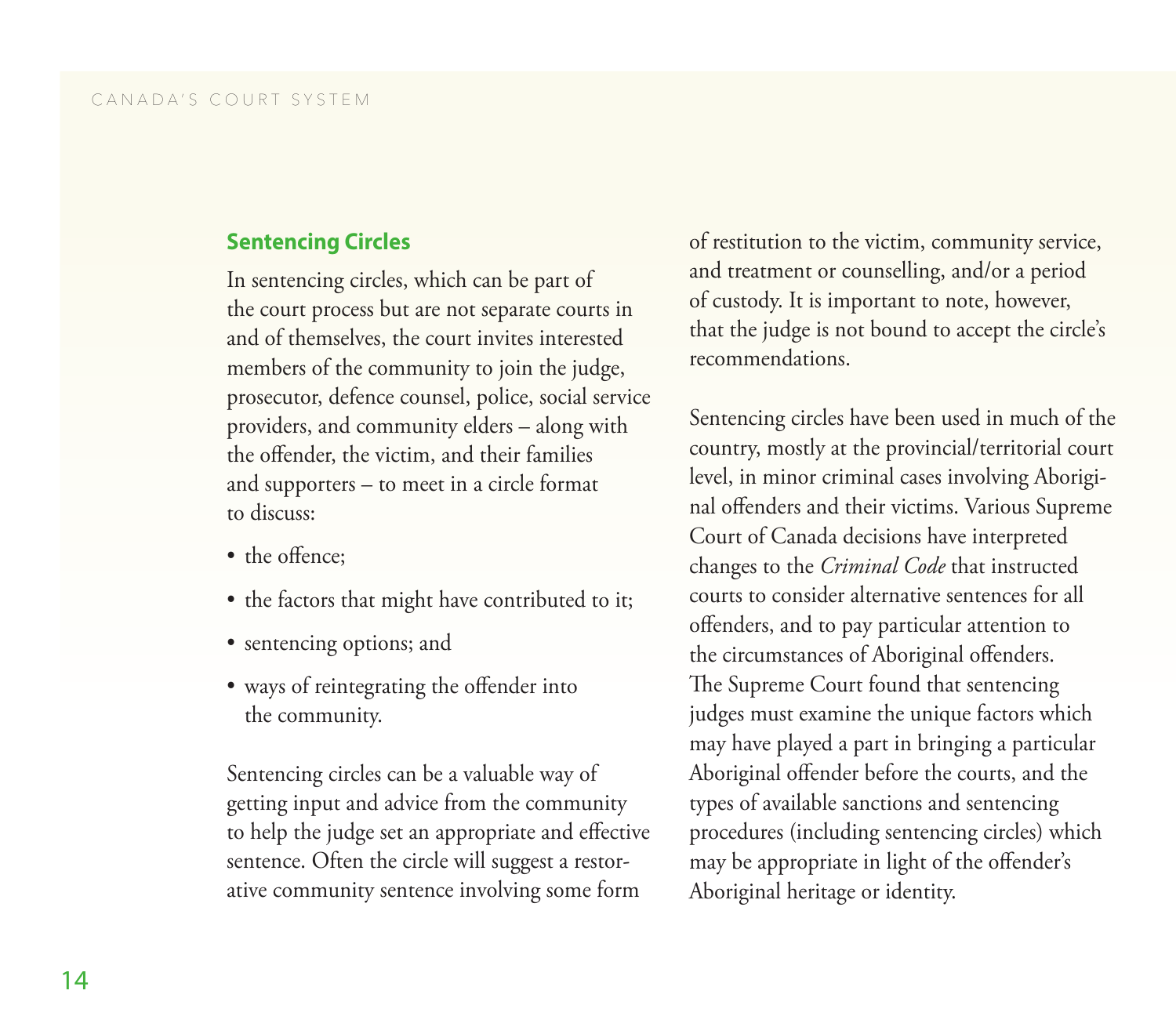### <span id="page-19-0"></span>**Sentencing Circles**

In sentencing circles, which can be part of the court process but are not separate courts in and of themselves, the court invites interested members of the community to join the judge, prosecutor, defence counsel, police, social service providers, and community elders – along with the offender, the victim, and their families and supporters – to meet in a circle format to discuss:

- the offence;
- the factors that might have contributed to it;
- sentencing options; and
- ways of reintegrating the offender into the community.

Sentencing circles can be a valuable way of getting input and advice from the community to help the judge set an appropriate and effective sentence. Often the circle will suggest a restorative community sentence involving some form

of restitution to the victim, community service, and treatment or counselling, and/or a period of custody. It is important to note, however, that the judge is not bound to accept the circle's recommendations.

Sentencing circles have been used in much of the country, mostly at the provincial/territorial court level, in minor criminal cases involving Aboriginal offenders and their victims. Various Supreme Court of Canada decisions have interpreted changes to the *Criminal Code* that instructed courts to consider alternative sentences for all offenders, and to pay particular attention to the circumstances of Aboriginal offenders. The Supreme Court found that sentencing judges must examine the unique factors which may have played a part in bringing a particular Aboriginal offender before the courts, and the types of available sanctions and sentencing procedures (including sentencing circles) which may be appropriate in light of the offender's Aboriginal heritage or identity.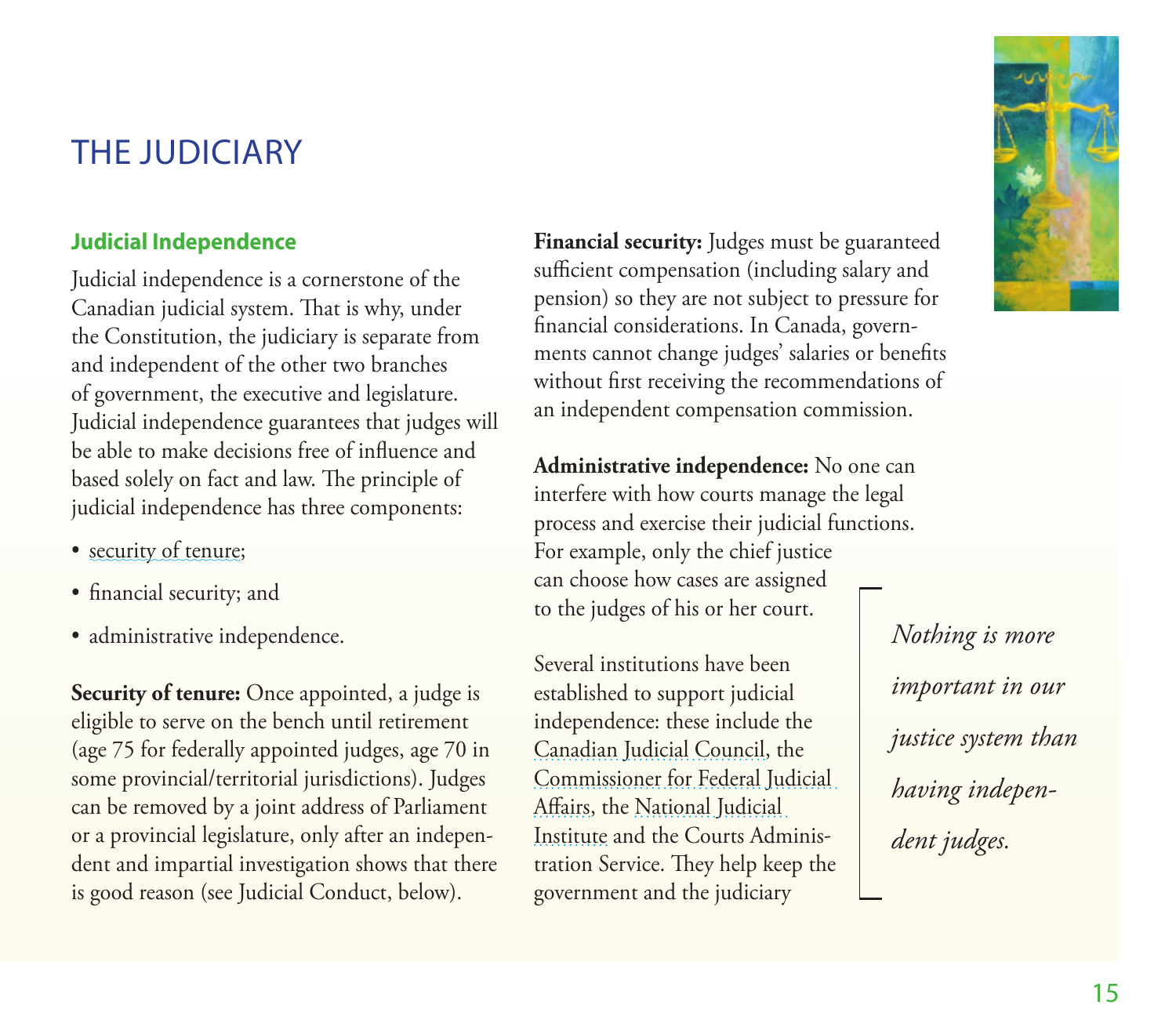## <span id="page-20-0"></span>THE JUDICIARY

## **Judicial Independence**

Judicial independence is a cornerstone of the Canadian judicial system. That is why, under the Constitution, the judiciary is separate from and independent of the other two branches of government, the executive and legislature. Judicial independence guarantees that judges will be able to make decisions free of influence and based solely on fact and law. The principle of judicial independence has three components:

- [security of tenure](#page-23-0);
- financial security; and
- administrative independence.

**Security of tenure:** Once appointed, a judge is eligible to serve on the bench until retirement (age 75 for federally appointed judges, age 70 in some provincial/territorial jurisdictions). Judges can be removed by a joint address of Parliament or a provincial legislature, only after an independent and impartial investigation shows that there is good reason (see Judicial Conduct, below).

**Financial security:** Judges must be guaranteed sufficient compensation (including salary and pension) so they are not subject to pressure for financial considerations. In Canada, governments cannot change judges' salaries or benefits without first receiving the recommendations of an independent compensation commission.

**Administrative independence:** No one can interfere with how courts manage the legal process and exercise their judicial functions. For example, only the chief justice can choose how cases are assigned to the judges of his or her court.

Several institutions have been established to support judicial independence: these include the [Canadian Judicial Council](http://www.cjc-ccm.gc.ca/english/index_en.asp), the [Commissioner for Federal Judicial](http://www.fja.gc.ca/home-accueil/index-eng.html)  [Affairs](http://www.fja.gc.ca/home-accueil/index-eng.html), the [National Judicial](https://www.nji-inm.ca/index.cfm)  [Institute](https://www.nji-inm.ca/index.cfm) and the Courts Administration Service. They help keep the government and the judiciary



*Nothing is more important in our justice system than having independent judges.*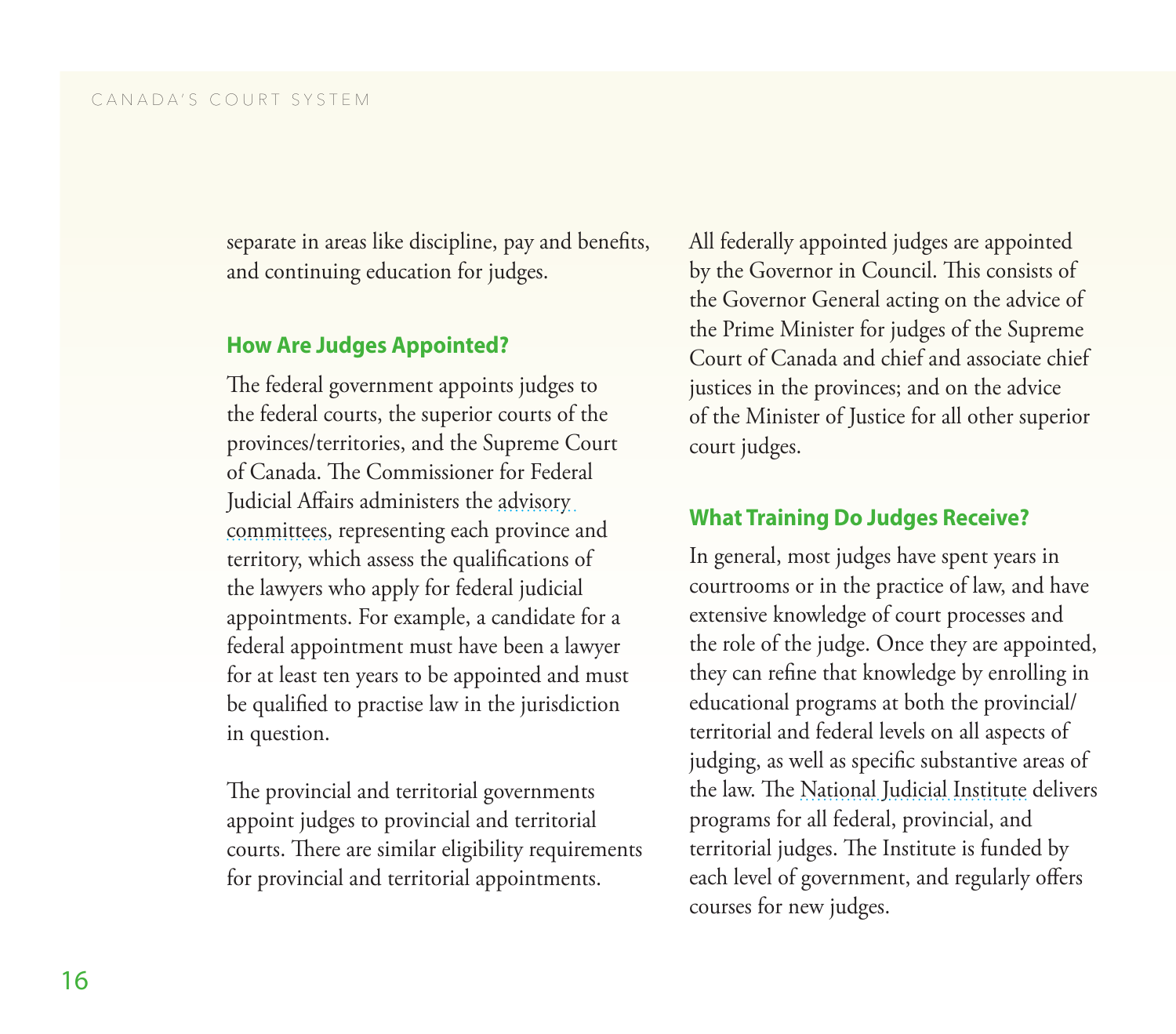<span id="page-21-0"></span>separate in areas like discipline, pay and benefits, and continuing education for judges.

### **How Are Judges Appointed?**

The federal government appoints judges to the federal courts, the superior courts of the provinces/territories, and the Supreme Court of Canada. The Commissioner for Federal Judicial Affairs administers the [advisory](http://www.fja.gc.ca/appointments-nominations/committees-comites/members-membres/index-eng.html)  [committees](http://www.fja.gc.ca/appointments-nominations/committees-comites/members-membres/index-eng.html), representing each province and territory, which assess the qualifications of the lawyers who apply for federal judicial appointments. For example, a candidate for a federal appointment must have been a lawyer for at least ten years to be appointed and must be qualified to practise law in the jurisdiction in question.

The provincial and territorial governments appoint judges to provincial and territorial courts. There are similar eligibility requirements for provincial and territorial appointments.

All federally appointed judges are appointed by the Governor in Council. This consists of the Governor General acting on the advice of the Prime Minister for judges of the Supreme Court of Canada and chief and associate chief justices in the provinces; and on the advice of the Minister of Justice for all other superior court judges.

### **What Training Do Judges Receive?**

In general, most judges have spent years in courtrooms or in the practice of law, and have extensive knowledge of court processes and the role of the judge. Once they are appointed, they can refine that knowledge by enrolling in educational programs at both the provincial/ territorial and federal levels on all aspects of judging, as well as specific substantive areas of the law. The [National Judicial Institute](https://www.nji-inm.ca/index.cfm) delivers programs for all federal, provincial, and territorial judges. The Institute is funded by each level of government, and regularly offers courses for new judges.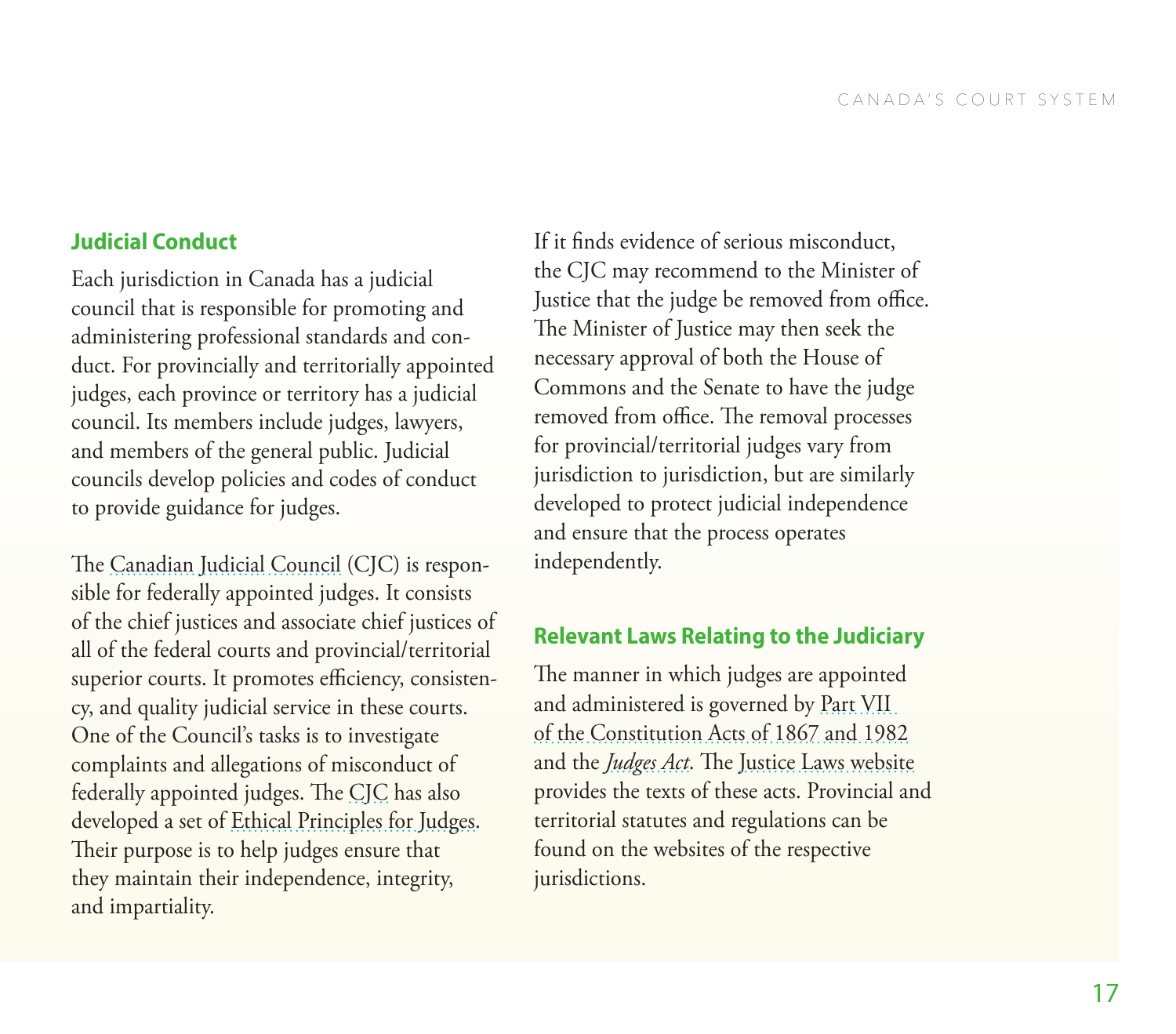### <span id="page-22-0"></span>**Judicial Conduct**

Each jurisdiction in Canada has a judicial council that is responsible for promoting and administering professional standards and conduct. For provincially and territorially appointed judges, each province or territory has a judicial council. Its members include judges, lawyers, and members of the general public. Judicial councils develop policies and codes of conduct to provide guidance for judges.

The [Canadian Judicial Council](http://www.cjc-ccm.gc.ca/english/index_en.asp) (CJC) is responsible for federally appointed judges. It consists of the chief justices and associate chief justices of all of the federal courts and provincial/territorial superior courts. It promotes efficiency, consistency, and quality judicial service in these courts. One of the Council's tasks is to investigate complaints and allegations of misconduct of federally appointed judges. The [CJC](http://www.cjc-ccm.gc.ca/english/resource_en.asp?selMenu=resource_alternatives_en.asp) has also developed a set of [Ethical Principles for Judges.](https://www.cjc-ccm.gc.ca/cmslib/general/news_pub_judicialconduct_Principles_en.pdf) Their purpose is to help judges ensure that they maintain their independence, integrity, and impartiality.

If it finds evidence of serious misconduct, the CJC may recommend to the Minister of Justice that the judge be removed from office. The Minister of Justice may then seek the necessary approval of both the House of Commons and the Senate to have the judge removed from office. The removal processes for provincial/territorial judges vary from jurisdiction to jurisdiction, but are similarly developed to protect judicial independence and ensure that the process operates independently.

## **Relevant Laws Relating to the Judiciary**

The manner in which judges are appointed and administered is governed by [Part VII](http://laws.justice.gc.ca/eng/Const/page-5.html#h-25)  [of the Constitution Acts of 1867 and 1982](http://laws.justice.gc.ca/eng/Const/page-5.html#h-25) and the *[Judges Act](http://laws.justice.gc.ca/eng/acts/J-1/)*. The [Justice Laws website](http://laws.justice.gc.ca/eng/) provides the texts of these acts. Provincial and territorial statutes and regulations can be found on the websites of the respective jurisdictions.